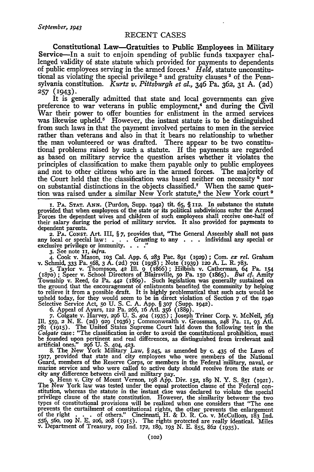## **RECENT CASES**

Constitutional Law-Gratuities to Public Employees in Military Service-In a suit to enjoin spending of public funds taxpayer challenged validity of state statute which provided for payments to dependents of public employees serving in the armed forces.' *Held,* statute unconstitutional as violating the special privilege 2 and gratuity clauses **3** of the Pennsylvania constitution. *Kurtz v. Pittsburgh et aL,* 346 Pa. **362, 31 A. (2d) 257 (I943).**

It is generally admitted that state and local governments can give preference to war veterans in public employment,<sup>4</sup> and during the Civil War their power to offer bounties for enlistment in the armed services was likewise upheld.<sup>5</sup> However, the instant statute is to be distinguished from such laws in that the payment involved pertains to men in the service rather than veterans and also in that it bears no relationship to whether the man volunteered or was drafted. There appear to be two constitutional problems raised by such a statute. If the payments are regarded as based on military service the question arises whether it violates the principles of classification to make them payable only to public employees and not to other citizens who are in the armed forces. The majority of the Court held that the classification was based neither on necessity <sup>6</sup> nor on substantial distinctions in the objects classified.7 When the same question was raised under a similar New York statute,8 the New York court **9**

**1. PA. STAT. ANN.** (Purdon, Supp. **1942)** tit. **65,** § **112.** In substance the statute provided that when employees of the state or its political subdivisions enter the Armed Forces the dependent wives and children of such employees shall receive one-half of their salary during the period of military service. It also provided for payments to dependent parents.

dependent parents.<br>**2. PA. Const. Art. III, § 7, provides that, "The General Assembly shall not pass** any local or special law: . . . . . Granting to any . . . individual any special or exclusive privilege or immunity. . . . ."

3. See note 11, *infra*.<br>4. Cook v. Mason, 103 Cal. App. 6, 283 Pac. 891 (1929); Com. ex rel. Graham<br>v. Schmid, 333 Pa. 568, 3 A. (2d) 701 (1938); Note (1939) 120 A. L. R. 783.<br>5. Taylor v. Thompson, 42 Ill. 9 (1866); Hil to relieve it from a possible draft. It is highly problematical that such acts would be upheld today, for they would seem to be in direct violation of Section 7 of the **1940** Selective Service Act, 5o U. S. C. A. App. § **307** (Supp. I942).

6. Appeal of Ayars, 122 Pa. 266, 16 Atl. 356 (1889).<br>7. Colgate v. Harvey, 296 U. S. 404 (1935); Joseph Triner Corp. v. McNeil, 363<br>Ill. 559, 2 N. E. (2d) 929 (1936); Commonwealth v. Grossman, 248 Pa. 11, 93 Atl. 781 (1915). The United States Supreme Court laid down the following test in the *Colgate* case: "The classification in order to avoid the constitutional prohibition, must be founded upon pertinent and real differences, as distinguished from irrelevant and<br>artificial ones." 296 U. S. 404, 423.<br>8. The New York Military Law, § 245, as amended by c. 435 of the Laws of<br>1917, provided that state

Guard, members of the Reserve Corps, or members in the Federal military, naval, or<br>marine service and who were called to active duty should receive from the state of<br>city any difference between civil and military pay.<br>9. H

The New York law was tested under the equal protection clause of the Federal constitution, whereas the statute in the instant case was declared to violate the special privilege clause of the state constitution. However, th types of constitutional provisions will be realized when one considers that "The one<br>prevents the curtailment of constitutional rights, the other prevents the enlargement<br>of the right . . . . of others." Cincinnati, H. & D 556, 56o, **iO9 N. E.** 2o6, **208** (91). The rights protected are really identical. Miles v. Department of Treasury, **209** Ind. 172, **x89, 193** N. E. 855, 862 (935).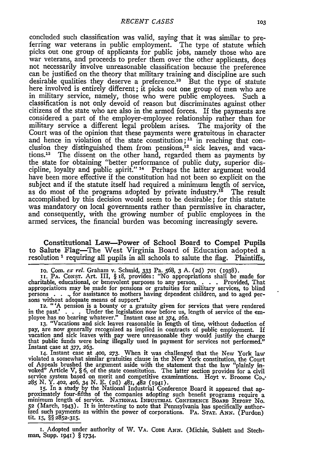concluded such classification was valid, saying that it was similar to preferring war veterans in public employment. The type of statute which picks out one group of applicants for public jobs, namely those who are war veterans, and proceeds to prefer them over the other applicants, does not necessarily involve unreasonable classification because the preference can be justified on the theory that military training and discipline are such desirable qualities they deserve a preference.<sup>10</sup> But the type of statute here involved is entirely different; it picks out one group of men who are in military service, namely, those who were public employees. Such a classification is not only devoid of reason but discriminates against other citizens of the state who are also in the armed forces. If the payments are considered a part of the employer-employee relationship rather than for military service a different legal problem arises. The majority of the Court was of the opinion that these payments were gratuitous in character and hence in violation of the state constitution;<sup>11</sup> in reaching that conclusion they distinguished them from pensions, $^{12}$  sick leaves, and vacations.13 The dissent on the other hand, regarded them as payments by the state for obtaining "better performance of public duty, superior discipline, loyalty and public spirit." 14 Perhaps the latter argument would have been more effective if the constitution had not been so explicit on the subject and if the statute itself had required a minimum length of service, as do most of the programs adopted by private industry.<sup>15</sup> The result accomplished by this decision would seem to be desirable; for this statute was mandatory on local governments rather than permissive in character, and consequently, with the growing number of public employees in the armed services, the financial burden was becoming increasingly severe.

Constitutional Law-Power of School Board to Compel Pupils to Salute Flag--The West Virginia Board of Education adopted a resolution<sup>1</sup> requiring all pupils in all schools to salute the flag. Plaintiffs,

io. Com. ex *reL* Graham v. Schmid, 333 Pa. **568,** 3 A. **(2d) 7O** (1938).

II. PA. Consr. Art. III, § 18, provides: "No appropriations shall be made for charitable, educational, or benevolent purposes to any person, . . . . Provided, That appropriations may be made for pensions or gratuities for military services, to blind persons . . ., for assistance to mothers having d

in the past.<br>
The reference of the employee has no bearing whatever.<br>
The legislation now before us, length of service of the employee has no bearing whatever.<br>
The interval as a 374, 262.<br>
I. "Vacations and sick leaves re

vacation and sick leaves with pay were unreasonable they would justify the charge that public funds were being illegally used in payment for services not performed." Instant case at *377,* 263.

14. Instant case at **400, 273.** When it was challenged that the New York law violated a somewhat similar gratuities clause in the New York constitution, the Court of Appeals brushed the argument aside with the statement that the law "plainly invoked" Article V, § 6, of the state constitution. The latter section provides for a civil<br>service system based on merit and competitive examinations. Hoyt v. Broome Co.,<br>285 N. Y. 402, 406, 34 N. E. (2d)  $48r$ ,  $482$  (194

**52** (March, 1943). It is interesting to note that Pennsylvania has specifically authorized such payments as within the power of corporations. **PA. STAT.** ANN. (Purdon) **tit. 15,** §§ **2852-315.**

**I.** Adopted under authority of W. VA. **CODE ANN.** (Michie, Sublett and Stechman, Supp. 1941) § 1734.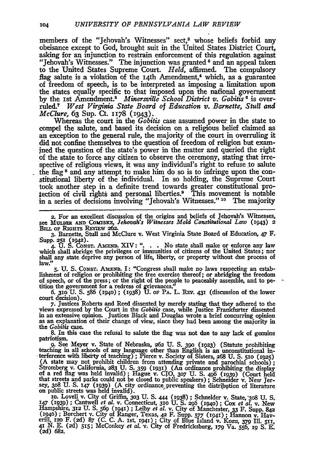members of the "Jehovah's Witnesses" sect,<sup>2</sup> whose beliefs forbid any obeisance except to God, brought suit in the United States District Court, asking for **an** injunction to restrain enforcement of this regulation against "Jehovah's Witnesses." The injunction was granted<sup>8</sup> and an appeal taken to the United States Supreme Court. *Held,* affimed. The compulsory flag salute is a violation of the 14th Amendment,<sup>4</sup> which, as a guarantee of freedom of speech, is to be interpreted as imposing a limitation upon the states equally specific to that imposed upon the nafional government **by** the **Ist** Amendment." *Minersville School District* **v.** *Gobitis '* is overruled.7 *West Virginia State Board of Education* v. *Barnette, Stull and McClure,* **63** Sup. Ct. 1178 (1943).

Whereas the court in the *Gobitis* case assumed power in the state to compel the salute, and based its decision on a religious belief claimed as an exception to the general rule, the majority of the court in overruling it did not confine themselves to the question of freedom of religion but exam-<br>ined the question of the state's power in the matter and queried the right of the state to force any citizen to observe the ceremony, stating that irrespective of religious views, it was any individual's right to refuse to salute the flag 8 and any attempt to make him do so is to infringe upon the constitutional liberty of the individual. In so holding, the Supreme Court took another step in a definite trend towards greater constitutional protection of civil rights and personal liberties.<sup>9</sup> This movement is notable in a series of decisions involving "Jehovah's Witnesses." <sup>10</sup> The majority

2. For an excellent discussion of the origins and beliefs of Jehovah's Witnesses, see Muuma *Law (1943)* **22** Bux or **RIGHTS** REVIEw **262.**

**3.** Barnette, Stull and McClure v. West Virginia State Board of Education, 47 F.

Supp. 251 (1942).<br>4. U. S. Const. Amenn. XIV: "... No state shall make or enforce any law which shall abridge the privileges or immunities of citizens of the United States; nor shall any state deprive any person of life, liberty, or property without due process of law."

**5. U. S.** CONST. **AMEND. I:** "Congress shall make no laws respecting an establishment of religion or prohibiting the free exercise thereof; or abridging the freedom of speech, or of the press; or the right of the people to peaceably assemble, and to peof speech, or of the press; or the right of the people to peaceably assemble, and to pe- tition the government for a redress of grievances."

**6. 31o U. S. 586 (x94o) ;** (1938) **U. oF** PA. L. REv. **43I** (discussion of the lower court decision).

**7.** Justices Roberts and Reed dissented **by** merely stating that they adhered to the views expressed by the Court in the Gobitis case, while Justice Frankfurter dissented<br>in an extensive opinion. Justices Black and Douglas wrote a brief concurring opinion<br>as an explanation of their change of view, since th as an explanation of their change of view, since they had been among the majority in the *Gobilis* case.<br>8. In this case the refusal to salute the flag was not due to any lack of genuine patriotism.

9. See Meyer v. State of Nebraska, 262 U. S. 390 (1923) (Statute prohibiting teaching in all schools of any language other than English is an unconstitutional interference with liberty of teaching); Pierce v. Society of Si (A state may not prohibit children from attending private and parochial schools);<br>Stromberg v. California, 283 U. S. 359 (1931) (An ordinance prohibiting the display<br>of a red flag was held invalid); Hague v. CIO, 307 U. S. sey, **308 U. S. 147 (I939) (A** city ordinance preventing the distribution of literature on public streets was held invalid). **-**

To. Lovell v. City of Griffin, 303 U. S. 444 (1938); Schneider v. State, 308 U. S.<br>147 (1939); Cantwell et al. v. Connecticut, 310 U. S. 296 (1940); Cox et al. v. New<br>Hampshire, 312 U. S. 569 (1941); Leiby et al. v. City **(2d) 682.**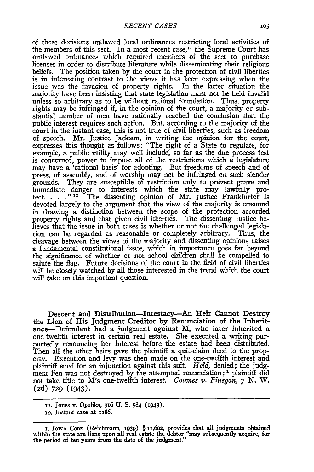of these decisions outlawed local ordinances restricting local activities of the members of this sect. In a most recent case,<sup>11</sup> the Supreme Court has outlawed ordinances which required members of the sect to purchase licenses in order to distribute literature while disseminating their religious beliefs. The position taken by the court in the protection of civil liberties is in interesting contrast to the views it has been expressing when the issue was the invasion of property rights. In the latter situation the majority have been insisting that state legislation must not be held invalid unless so arbitrary as to be without rational foundation. Thus, property rights may be infringed if, in the opinion of the court, a majority or substantial number of men have rationally reached the conclusion that the public interest requires such action. But, according to the majority of the court in the instant case, this is not true of civil liberties, such as freedom of speech. Mr. Justice Jackson, in writing the opinion for the court, expresses this thought as follows: "The right of a State to regulate, for example, a public utility may well include, so far as the due process test is concerned, power to impose all of the restrictions which a legislature may have a 'rational basis' for adopting. But freedoms of speech and of press, of assembly, and of worship may not be infringed on such slender grounds. They are susceptible of restriction only to prevent grave and immediate danger to interests which the state may lawfully protect. **... ," 12** The dissenting opinion of Mr. Justice Frankfurter is .devoted largely to the argument that the view of the majority is unsound in drawing a distinction between the scope of the protection accorded property rights and that given civil liberties. The dissenting Justice believes that the issue in both cases is whether or not the challenged legislation can be regarded as reasonable or completely arbitrary. Thus, the cleavage between the views of the majority and dissenting opinions raises a fundamental constitutional issue, which in importance goes far beyond the significance of whether or not school children shall be compelled to salute the flag. Future decisions of the court in the field of civil liberties will be closely watched by all those interested in the trend which the court will take on this important question.

Descent and Distribution-Intestacy-An Heir Cannot Destroy the Lien of His Judgment Creditor **by** Renunciation of the Inheritance-Defendant had a judgment against M, who later inherited a one-twelfth interest in certain real estate. She executed a writing purportedly renouncing her interest before the estate had been distributed. Then all the other heirs gave the plaintiff a quit-claim deed to the property. Execution and levy was then made on the one-twelfth interest and plaintiff sued for an injunction against this suit. *Held,* denied; the judgment lien was not destroyed by the attempted renunciation; **1** plaintiff did not take title to M's one-twelfth interest. *Coomes v. Finegan,* **7** *N.* W. **(2d) 729** (1943).

**ii.** Jones v. Opelika, 316 U. S. 584 (1943).

<sup>12.</sup> Instant case at 186.

**<sup>.</sup>** IOwA CODE (Reichmann, **1939)** § 11,602, provides that all judgments obtained within the state are liens upon all real estate the debtor "may subsequently acquire, for the period of ten years from the date of the judgment.'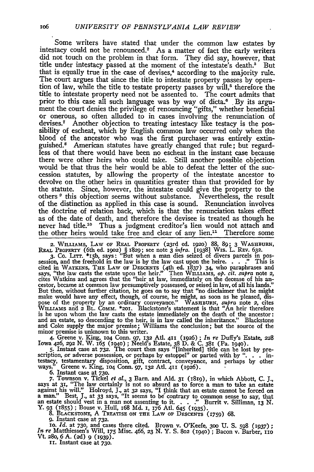Some writers have stated that under the common law estates by intestacy could not be renounced.<sup>2</sup> As a matter of fact the early writers did not touch on the problem in that form. They did say, however, that title under intestacy passed at the moment of the intestate's death.' But that is equally true in the case of devises,<sup>4</sup> according to the majority rule. The court argues that since the title to intestate property passes by operation of law, while the title to testate property passes by will,<sup>5</sup> therefore the title to intestate property need not be assented to. The court admits that prior to this case all such language was by way of dicta.<sup>6</sup> By its argument the court denies the privilege of renouncing "gifts," whether beneficial or onerous, so often alluded to in cases involving the renunciation of devises.7 Another objection to treating intestacy like testacy is the possibility of escheat, which by English common law occurred only when the blood of the ancestor who was the first purchaser was entirely extinguished." American statutes have greatly changed that rule; but regardless of that there would have been no escheat in the instant case because there were other heirs who could take. Still another possible objection would be that thus the heir would be able to defeat the letter of the succession statutes, by allowing the property of the intestate ancestor to devolve on the other heirs in quantities greater than that provided for by the statute. Since, however, the intestate could give the property to the others **9** this objection seems without substance. Nevertheless, the result of the distinction as applied in this case is sound. Renunciation involves the doctrine of relation back, which is that the renunciation takes effect as of the date of death, and therefore the devisee is treated as though he never had title.<sup>10</sup> Thus a judgment creditor's lien would not attach and the other heirs would take free and clear of any lien.1' Therefore some

**2.** WILLIAMS, LAW **OF** REAL PROPERTY (23rd ed. **I92O)** 88, **89;** 3 WASHBURN, REAL PROPERTY (6th ed. **19o2)** § 1829; see note 3 *infra.* [1938] Wis. L. REv. 632.

3. Co. LiTr. \*i5b, says: "But when a man dies seized of divers parcels in pos- session, and the freehold in the law is by the law cast upon the heire. . . **."** This is cited in WATKINS, THE LAW **OF DEScENTs** (4th ed. 1837) 34, who paraphrases and says, "the law casts the estate upon the heir.' Then WILLAMS, *op. cit. supra* note 2, cites Watkins and agrees that the "heir at law, immediately on the decease of his an- cestor, became at common law presumptively possessed, or seised in law, of all his lands.' But then. without further citation, he goes on to say that "no disclaimer that he might make would have any effect, though, of course, he might, as soon as he pleased, dispose of the property by an ordinary conveyance." WASHBURN, *subra* note 2, cites<br>WILLIAMS and 2 BL. COMM. \*201. Blackstone's statement is that "An heir therefore<br>is he upon whom the law casts the estate immediately on the and an estate, so descending to the heir, is in law called the inheritance." Blackstone and Coke supply the major premise; Williams the conclusion; but the source of the minor premise is unknown to this writer.

4. Greene v. King, 104 Conn. 97, 132 Atl. 411 (1926); *In re* Duffy's Estate, 22 Iowa 426, 292 N. W. 165 (1940); Neeld's Estate, 38 D. & C. 381 (Pa. 1940).<br>5. Instant case at 732. The court then says "[inherited] title can

scription, or adverse possession, or perhaps by estoppel" or parted with by ". **.** . in-testacy, testamentary disposition, gift, contract, conveyance, and perhaps **by** other ways." Greene v. King, **1O4** Conn. 97, **132** At. **411** (1926).

6. Instant case at 73o.

*7.* Townson v. Tickel *et a[.,* 3 Barn. and Ald. **31** (I819), in Which Abbott, C. **J.,** says at **31,** "The law certainly is not so absurd as to force a man to take an estate against his will." Holroyd, J., at 32 says, "I think that an estate cannot be forced or<br>a man." Best, J., at 33 says, "I tseems to be contrary to common sense to say, that<br>an estate should vest in a man not assenting to it Y. 93 (1855) ; Bouse v. Hull, **x68** Md. **I,** 176 Atl. 645 **(1935). 8. BLACKSTONE,** A TREATISE **ON THE** LAW or DESCENTS (759) **68.** 9. Instant case at **732.**

IO. *Id.* at 730, and cases there cited. Brown v. O'Keefe, **3o0** U. S. **598** (1937); *In re* Matthiessen's Will, **175** Misc. 466, **23 N.** Y. S. **802** (1940) **;** Bacon v. Barber, iio Vt. **28o, 6 A. (2d) 9 (1939).**

**Ii.** Instant case at 73o.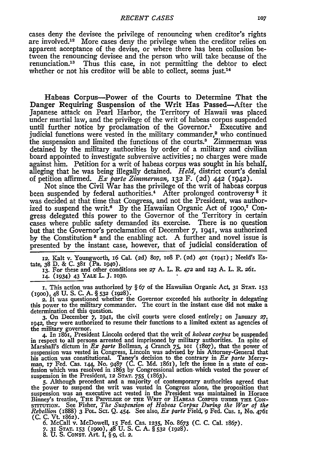cases deny the devisee the privilege of renouncing when creditor's rights are involved.<sup>12</sup> More cases deny the privilege when the creditor relies on apparent acceptance of the devise, or where there has been collusion between the renouncing devisee and the person who will take because of the renunciation.<sup>13</sup> Thus this case, in not permitting the debtor to elect whether or not his creditor will be able to collect, seems just.<sup>14</sup>

Habeas Corpus-Power of the Courts to Determine That the Danger Requiring Suspension of the Writ Has Passed-After the Japanese attack on Pearl Harbor, the Territory of Hawaii was placed under martial law, and the privilege of the writ of habeas corpus suspended until further notice **by** proclamation of the Governor.' Executive and judicial functions were vested in the military commander,<sup>2</sup> who continued the suspension and limited the functions of the courts.<sup>3</sup> Zimmerman was detained **by** the military authorities **by** order of a military and civilian board appointed to investigate subversive activities; no charges were made against him. Petition for a writ of habeas corpus was sought in his behalf, alleging that he was being illegally detained. *Held,* district court's denial of petition affirmed. *Ex parte Zimmerman,* **132** F. (2d) 442 (I942).

Not since the Civil War has the privilege of the writ of habeas corpus been suspended by federal authorities.<sup>4</sup> After prolonged controversy<sup>5</sup> it was decided at that time that Congress, and not the President, was authorized to suspend the writ.<sup>6</sup> By the Hawaiian Organic Act of 1900,<sup>7</sup> Congress delegated this power to the Governor of the Territory in certain cases where public safety demanded its exercise. There is no question but that the Governor's proclamation of December 7, **1941,** was authorized by the Constitution<sup>8</sup> and the enabling act. A further and novel issue is presented by the instant case, however, that of judicial consideration of

**12.** Kalt v. Youngworth, i6 Cal. **(2d)** 8o7, **1O8** P. **(2d) 401 (194i) ;** Neeld's Es-tate, 38 **D.** & **C.** 381 (Pa. **1940).**

**13.** For these and other conditions see **27 A.** L. R. **472** and 123 **A.** L. *R.* 26r. **14.** (1934) 43 **YALE** L. J. **1O3O.**

**1.** This action was authorized by § 67 of the Hawaiian Organic Act, 31 **STAT.** 153 **(19oo),** 48 **U. S. C. A. § 532 (1928).**

2. It was questioned whether the Governor exceeded his authority in delegating this power to the military commander. The court in the instant case did not make a determination of this question.

3. On December **7, 1941,** the civil courts were closed entirely; on January *27, 1942,* they were authorized to resume their functions to a limited extent as agencies of the military governor.

4. In 1861, President Lincoln ordered that the writ of *habeas corpus* be suspended in respect to all persons arrested and imprisoned by military authorities. In spite of Marshall's dictum in *Ex parte* Bollman, 4 Cranch 75, 101 (1807), that the power of suspension was vested in Congress, Lincoln was advised by his Attorney-General that his action was constitutional. Taney's decision to th

the power to suspend the writ was vested in Congress alone, the proposition that suspension was an executive act vested in the President was maintained in Horace<br>Binney's treatise, THE PRIVILEGE OF THE WRIT OF HABEAS CORPUS UNDER THE CON-<br>STITUTION. See Fisher, The Suspension of Habeas Corpus During th **(C.** C. Vt. 1862). **6.** McCall v. McDowell, IS Fed. Cas. **1235,** No. 8673 (C. C. Cal. 1867).

**7.** 31 **STAT. 153 (900),** 48 **U. S. C. A. §532** (1928). **8.** U. S. CONsT. Art. I, § *9,* **ci. 2.**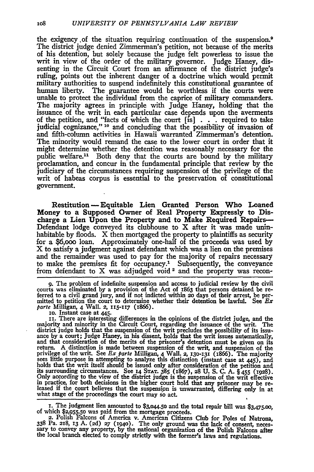the exigency ,of the situation requiring continuation of the suspension.9 The district judge denied Zimmerman's petition, not because of the merits of his detention, but solely because the judge felt powerless to issue the writ in view of the order of the military governor. Judge Haney, dissenting in the Circuit Court from an affirmance of the district judge's ruling, points out the inherent danger of a doctrine which would permit military authorities to suspend indefinitely this constitutional guarantee of human liberty. The guarantee would be worthless if the courts were unable to protect the individual from the caprice of military commanders. The majority agrees in principle with Judge Haney, holding that the issuance of the writ in each particular case depends upon the averments of the petition, and "facts of which the court [is] . . . required to take judicial cognizance," **10** and concluding that the possibility of invasion of and fifth-column activities in Hawaii warranted Zimmerman's detention. The minority would remand the case to the lower court in order that it might determine whether the detention was reasonably necessary for the public welfare.11 Both deny that the courts are bound by the military proclamation, and concur in the fundamental principle that review by the judiciary of the circumstances requiring suspension of the privilege of the writ of habeas corpus is essential to the preservation of constitutional government.

Restitution -- Equitable Lien Granted Person Who Loaned Money to a Supposed Owner of Real Property Expressly to Discharge a Lien Upon the Property and to Make Required Repairs-Defendant lodge conveyed its clubhouse to X after it was made uninhabitable by floods. X then mortgaged the property to plaintiffs as security for a \$6,ooo loan. Approximately one-half of the proceeds was used by X to satisfy a judgment against defendant which was a lien on the premises and the remainder was used to pay for the majority of repairs necessary to make the premises fit for occupancy.' Subsequently, the conveyance from defendant to X was adjudged void<sup>2</sup> and the property was recon-

**9.** The problem of indefinite suspension and access to judicial review by the civil courts was eliminated by a provision of the Act of  $1863$  that persons detained be referred to a civil grand jury, and if not indicted within 20 days of their arrest, be permitted to petition the court to determine whethe *parte* Milligan, 4 Wall. **2, II5-II7** (I8%).

IO. Instant case at 445.<br> **II.** There are interesting differences in the opinions of the district judge, and the majority and minority in the Circuit Court, regarding the issuance of the writ. The district judge holds that the suspension of the writ precludes the possibility of its issu-<br>ance by a court; Judge Haney, in his dissent, holds that the writ issues automatically,<br>and that consideration of the merits of t holds that the writ itself should be issued only after consideration of the petition **and** its surrounding circumstances. See **14 STAT. 385** (1867), 28 **U. S. C. A. §** 455 **(928).** Only according to the view of the district judge is the suspension of the writ effective in practice, for both decisions in the higher court hold that any prisoner may be re-<br>leased if the court believes that the suspension is unwarranted, differing only in at what stage of the proceedings the court may so act.

i. The judgment lien amounted to **\$3,044.5o** and the total repair bill was \$3,475.oo, **of** which **\$2,955.50** was paid from the mortgage proceeds. **2.** Polish Falcons of America v. American Citizens Club for Poles of Natrona,

**<sup>338</sup>**Pa. **218, I3 A. (2d) 27 (1940).** The only ground was the lack **of** consent, neces- sary to convey any property, **by** the national organization of the Polish Falcons after the local branch elected to comply strictly with the former's laws and regulations.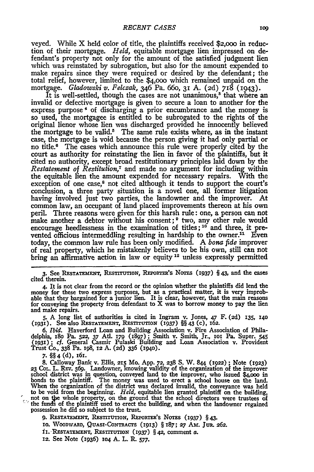veyed. While X held color of title, the plaintiffs received \$2,000 in reduction of their mortgage. *Held,* equitable mortgage lien impressed on defendant's property not only for the amount of the satisfied judgment lien which was reinstated by subrogation, but also for the amount expended to make repairs since they were required or desired by the defendant; the total relief, however, limited to the \$4,ooo which remained unpaid on the mortgage. *Gladowski v. Felczak,* 346 Pa. 660, **31 A.** (2d) 718 (I943).

It is well-settled, though the cases are not unanimous,<sup>8</sup> that where an invalid or defective mortgage is given to secure a loan to another for the express purpose ' of discharging a prior encumbrance and the money is so used, the mortgagee is entitled to be subrogated to the rights of the original lienor whose lien was discharged provided he innocently believed the mortgage to be valid.<sup>5</sup> The same rule exists where, as in the instant case, the mortgage is void because the person giving it had only partial or no title.6 The cases which announce this rule were properly cited by the court as authority for reinstating the lien in favor of the plaintiffs, but it cited no authority, except broad restitutionary principles laid down by the *Restatement of Restitution7* and made no argument for including within the equitable lien the amount expended for necessary repairs. With the exception of one case,<sup>8</sup> not cited although it tends to support the court's conclusion, a three party situation is a novel one, all former litigation having involved just two parties, the landowner and the improver. At common law, an occupant of land placed improvements thereon at his own peril. Three reasons were given for this harsh rule: one, a person can not make another a debtor without his consent; **9** two, any other rule would encourage heedlessness in the examination of titles;  $10^6$  and three, it prevented officious intermeddling resulting in hardship to the owner.<sup>11</sup> Even today, the common law rule has been only modified. **A** *bona fide* improver of real property, which he mistakenly believes to be his own, still can not bring an affirmative action in law or equity <sup>12</sup> unless expressly permitted

**3.** See **RESTATEMENT, RFsTiuTiox, RE 0RrER's NOTES (1937) §** *43,* and the cases cited therein.

4. It is not clear from the record or the opinion whether the plaintiffs did lend the money for these two express purposes, but as a practical **matter,** it **is** very improbable that they bargained for a junior lien. It is clear, however, that the main reasons for conveying the property from defendant to X **was to borrow money to** pay the lien **and make repairs.**

**5. A** long list of authorities is cited in Ingram v. Jones, 47 F. **(2d) 135,** *140* **(1931).** See **also RESTATE ExT, REsTITiFoIIN (1937)** §§ 43 (c), **162.**

*6. Ibid.* Haverford Loan and Building Association v. **Fire Association of** Philadelphia, 180 Pa. 522, 37 Atl. 179 (1897); Smith v. Smith, Jr., 101 Pa. Super. 545<br>(1931); cf. General Casmir Pulaski Building and Loan Association v. Provident<br>Trust Co., 338 Pa. 198, 12 A. (2d) 336 (1940).

**7. §** 4 **(d), 161.**

**8.** Calloway Bank v. Ellis, **215** Mo. **App.** *72,* **238 S.** W. 844 **(1922) ;** Note **(1923) 23 COL.** L. **REv. 569.** Landowner, knowing validity of the organization of the improver school district was in question, conveyed land to the improver, who issued \$4,000 in<br>bonds to the plaintiff. The money was used to erect a school house on the land<br>When the organization of the district was declared invalid  $\hat{\mathcal{O}}$ the funds of the plaintiff used to erect the building, and when the landowner regained possession he did so subject to the trust.

9. RESTATEMENT, RESTITUTION, REPORTER'S NOTES (1937) § 43.

**10. WOODWA D, QUAs-CONTRAcTS** (1913) § 187; *27* Am. JuR. **262.**

ii. **-RESTATEMENT, RESTrTTON (1937)** § **42,** comment **a.**

**12.** See Note (1936) **104 A.** L. *R. 577.*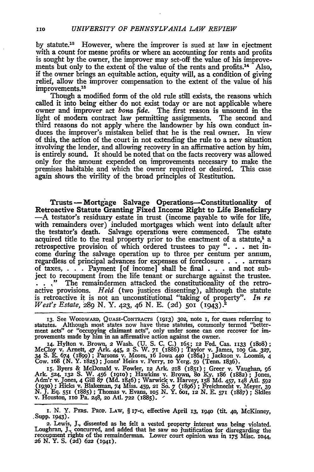by statute.<sup>18</sup> However, where the improver is sued at law in ejectment with a count for mesne profits or where an accounting for rents and profits is sought by the owner, the improver may set-off the value of his improvements but only to the extent of the value of the rents and profits.<sup>14</sup> Also, if the owner brings an equitable action, equity will, as a condition of giving relief, allow the improver compensation to the extent of the value of his improvements.<sup>15</sup>

Though a modified form of the old rule still exists, the reasons which called it into being either do not exist today or are not applicable where owner and improver act *bona fide.* The first reason is unsound in the light of modern contract law permitting assignments. The second and third reasons do not apply where the landowner **by** his own conduct induces the improver's mistaken belief that he is the real owner. In view of this, the action of the court in not extending the rule to a new situation involving the lender, and allowing recovery in an affirmative action **by** him, is entirely sound. It should be noted that on the facts recovery was allowed only for the amount expended on improvements necessary to make the premises habitable and which the owner required or desired. This case again shows the virility of the broad principles of Restitution.

Trusts **-** Mortgage Salvage Operations-Constitutionality of Retroactive Statute Granting Fixed Income Right to Life Beneficiary **-A** testator's residuary estate in trust (income payable to wife for life, with remainders over) included mortgages which went into default after the testator's death. Salvage operations were commenced. The estate acquired title to the real property prior to the enactment of a statute,<sup>1</sup> a retrospective provision of which ordered trustees to pay **". ..** net income during the salvage operation up to three per centum per annum, regardless of principal advances for expenses of foreclosure **. . .** arrears of taxes, . **..** Payment **[of** income] shall be final **. . .** and not subject to recoupment from the life tenant or surcharge against the trustee. . . ." The remaindermen attacked the constitutionality of the retroactive provisions. *Held* (two justices dissenting), although the statute is retroactive it is not an unconstitutional "taking of property". *In re West's Estate, 28*9 N. Y. 423, 46 N. E. (2d) 501 (1943).

**13.** See WOODWARD, **QUAsI-CoNTRACTS** (1913) **302,** note **I,** for cases referring to statutes. Although most states now have these statutes, commonly termed "betterment acts" or "occupying claimant acts", only under some can one recover for improvements made by him in an affirmative action against the owner.

**14.** Hylton v. Brown, 2 Wash. **(U. S. C. C.)** 165; **12** Fed. Cas. **1833** (ISo8); McCloy v. Arnett, 47 Ark. 445, 2 **S.** W. **71** (1886); Taylor **v.** James, **o9** Ga. **327, <sup>34</sup>S.** E. 674 **(x899) ;** Parsons v. Moses, 16 Iowa **44o** (1864) **;** Jackson v. Loomis, 4 Cow. 168 **(N.** Y. 1825); Jones' Heirs v. Perry, **8o** Yerg. **59** (Tenn. 1836).

**I5.** Byers **&** McDonald v. Fowler, **12** Ark. *28* (1851); Greer v. Vaughan, **96** Ark. 524, 132 S. W. 456 (1910); Hawkins v. Brown, 80 Ky. 186 (1882); Jones<br>Adm'r v. Jones, 4 Gill 87 (Md. 1846); Warwick v. Harvey, 158 Md. 457, 148 Atl. 592<br>(1930); Hicks v. Blakeman, 74 Miss. 459, 21 So. 7 (1896); Freich

I. N. Y. PERS. PROP. LAW, § 17-c, effective April **13, 1940** (tit. 40, McKinney, Supp. 1943).

**<sup>2.</sup>** Lewis, **J.,** dissented as he felt a vested property interest was being violated. Loughran, **J.,** concurred, and added that he saw no justification for disregarding the recoupment rights of the remainderman. Lower court opinion was in **175** Misc. **1o44,** 26 N. Y. S. (2d) 622 (1941).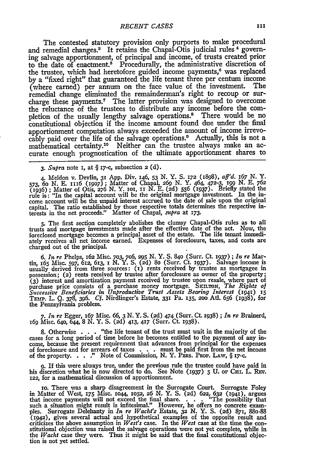The contested statutory provision only purports to make procedural and remedial changes.<sup>3</sup> It retains the Chapal-Otis judicial rules<sup>4</sup> governing salvage apportionment, of principal and income, of trusts created prior to the date of enactment.<sup>5</sup> Procedurally, the administrative discretion of the trustee, which had heretofore guided income payments,<sup>6</sup> was replaced by a "fixed right" that guaranteed the life tenant three per centum income (where earned) per annum on the face value of the investment. The remedial change eliminated the remainderman's right to recoup or surcharge these payments.7 The latter provision was designed to overcome the reluctance of the trustees to distribute any income before the completion of the usually lengthy salvage operations." There would be no constitutional objection if the income amount found due under the final apportionment computation always exceeded the amount of income irrevocably paid over the life of the salvage operations." Actually, this is not a mathematical certainty.20 Neither can the trustee always make an accurate enough prognostication of the ultimate apportionment shares to

*3. Supra* note I, at **§** i7-c, subsection **2 (d).**

4. Meldon v. Devlin, 31 App. Div. 146, 53 N. Y. S. 172 (1898),  $aff'd.$  167 N. Y. 573, 60 N. E. 1116 (1907); Matter of Chapal, 269 N. Y. 464, 472-3, 199 N. E. 762 (1936); Matter of Otis, 276 N. Y. 101, 11 N. E. (2d) 556 (193 come account will be the unpaid interest accrued to the date of sale upon the original capital. The ratio established by those respective totals determines the respective in-terests in the net proceeds." Matter of Chapal, *supra* at **173.**

**5.** The first section completely abolishes the clumsy Chapal-Otis rules as to all trusts and mortgage investments made after the effective date of the act. Now, the foreclosed mortgage becomes a principal asset of the estate. The life tenant immediately receives all net income earned. Expenses of foreclosure, taxes, and costs are charged out of the principal.

*6. In re* Phelps, **162** Misc. **703, 7G6, 295** N. Y. S. 840 (Surr. Ct. **1937) ;** *In re* Martin, **i65** Misc. *597,* 612, 613, **I** *N.* Y. S. (2d) 8o (Surr. Ct. 1937). Salvage income is usually derived from three sources: () rents received **by** trustee as mortgagee in possession; (2) rents received **by** trustee after foreclosure as owner of the property; **(3)** interest and amortization payment received by trustee upon resale, where part of purchase price consists of a purchase money mortgage. **SKELTON,** *The Rights of Successive Beneficiaries in Unproductive Trust Assets Bearing Interest* (1941) **15** TEmp. L. **Q. 378, 396.** *Cf.* Nirdlinger's Estate, **331** Pa. **135, 2oo** Atl. **656** (1938), for the Pennsylvania problem.

*7. In re* Egger, 167 Misc. *66, 3* **N.** Y. **S. (2d)** 474 (Surr. **Ct.** 1938) ; *In re* Brainerd, **<sup>169</sup>**Misc. 64o, **644, 8 N.** Y. **S. (2d) 413, 417** (Surr. Ct. 1938).

**8.** Otherwise **. . .** "the life tenant of the trust must wait in the majority of the cases for a long period of time before he becomes entitled to the payment of any income, because the present requirement that advances from principal for the expenses of foreclosure and for arrears of taxes **. . .** must be paid first from the net income of the property. . **. ...** Note of Commission, **N.** Y. PEas. **PROP.** LAW, § **i7-c.**

*9.* If this were always true, under the previous rule the trustee could have paid in his discretion what he is now directed to do. See Note *(i937)* 5 **U.** oF **CuI.** L. **REv. 122,** for a mathematical discussion of apportionment.

io. There was a sharp disagreement in the Surrogate Court. Surrogate Foley in Matter of West, **i75** Misc. **1044, 1052, 26** *N.* Y. **S.** (2d) **622,- 632 (194),** argues that income payments will not exceed the final share. . . . . "The possibility that such a situation might result is infitesimal." However, he offers no concrete exam-<br>ples. Surrogate Delehanty in *In re Wacht's* Estate, 32 N. Y. S. (2d) 871, 880-88<br>(1942), gives several actual and hypothetical examples o criticizes the above assumption in *West's* case. In the *West* case at the time the constitutional objection was raised the salvage operations were not yet complete, while in the *Wacht* case they were. Thus it might be said that the final constitutional objection is not yet settled.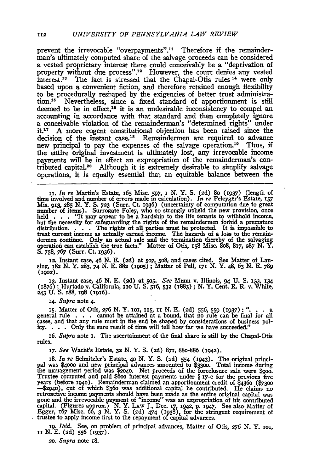prevent the irrevocable "overpayments".<sup>11</sup> Therefore if the remainderman's ultimately computed share of the salvage proceeds can be considered a vested proprietary interest there could conceivably be a "deprivation of property without due process".<sup>12</sup> However, the court denies any vested  $interest.^{13}$  The fact is stressed that the Chapal-Otis rules  $^{14}$  were only based upon a convenient fiction, and therefore retained enough flexibility to be procedurally reshaped by the exigencies of better trust administration.15 Nevertheless, since a fixed standard of apportionment is still deemed to be in effect,<sup>16</sup> it is an undesirable inconsistency to compel an accounting in accordance with that standard and then completely ignore a conceivable violation of the remainderman's "determined rights" under it.<sup>17</sup> A more cogent constitutional objection has been raised since the decision of the instant case.<sup>18</sup> Remaindermen are required to advance new principal to pay the expenses of the salvage operation.'9 Thus, **if** the entire original investment is ultimately lost, any irrevocable income payments will be in effect an expropriation of the remainderman's contributed capital.<sup>20</sup> Although it is extremely desirable to simplify salvage operations, it is equally essential that an equitable balance between the

**12.** Instant case, 46 **N. E. (2d)** at **5o7,** 5o8i and cases cited. See Matter of Lan-sing, **182 N.** Y. **283, 74 N. E. 882 (igo5) ;** Matter of Pell, *17I* **N.** Y. 48, **63 N. E. 789 (1902).**

13. Instant case, 46 N. E. (2d) at 505. See Munn v. Illinois, 94 U. S. 133, 134<br>(1876); Hurtado v. California, 110 U. S. 516, 532 (1883); N. Y. Cent. R. R. v. White, **243 U.** S. i88, 198 (i916).

*14. Supra* note 4.

**i5.** Matter of Otis, *276* **N.** Y. **ioi, xx5,** ix **N. E. (2d) 556, 559 (1937)** *". •* . *<sup>a</sup>* general rule . **.** . cannot be attained at a bound, that no rule can be final for all cases, and that any rule must in the end be shaped **by** considerations of business pol**icy.** . **.** . Only the sure result of time will tell how far we have succeeded."

*6. Supra* note **i.** The ascertainment of the final share is still **by** the Chapal-Otis rules.

*x7. See* Wacht's Estate, **32 N.** Y. **S. (2d)** 871, 88o-886 (x942).

18. *In re* Schnitzler's Estate, **40 N.** Y. **S. (2d)** 554 **(1943).** The original principal was **\$4ooo** and new principal advances amounted to **\$33oo.** Total income during the management period was **\$2040.** Net proceeds of the foreclosure sale were \$goo. Trustee computed and paid \$600 interest payments under § 17-c for the previous five<br>years (before 1940). Remainderman claimed an apportionment credit of \$4360 (\$7300<br>-\$2940), out of which \$360 was additional capital he con retroactive income payments should have been made as the entire original capital was gone and the irrevocable payment of "income ' was an expropriation of his contributed capital. (Figures approx.) **N.** Y. LAw **J.,** Dec. **17, 1942,** p. **1947.** See alsoMatter of Egger, 67 Misc. **66, 3 N.** Y. **S. (2d)** 474 (0938), for the stringent requirement of trustee to apply income first to the repayment of capital advances.

*ig. Ibid.* See, on problem of principal advances, Matter of Otis, 276 **N.** Y. **2o,** ii **X. E. (2d) 556 (I937).**

*2o. Supra* note 18.

**i.** *In re* Martin's Estate, **I65** Misc. 597, 1 **N.** Y. **S.** (2d) 8o (1937) (length of time involved and number of errors made in calculation). *In re* Pelcyger's Estate, *i57* Mis. 913, **285 N.** Y. **S. 723** (Surr. **Ct.** 1936) (uncertainty of computation due to great number of items). Surrogate Foley, who so strongly upheld the new provision, once held **. . .** "It may appear to be a hardship to the life tenants to withhold income but the necessity for safeguarding the rights of the remaindermen forbid a premature distribution. **. . .** The rights of all parties must be protected. It is impossible to treat current income as actually earned income. The hazards of a loss to the remaindermen continue. Only an actual sale and the termination thereby of the salvaging operation can establish the true facts." Matter of Otis, **158 Misc. 808, 817, 287 N. Y.** S. 758, 767 (Surr. Ct. 1936).